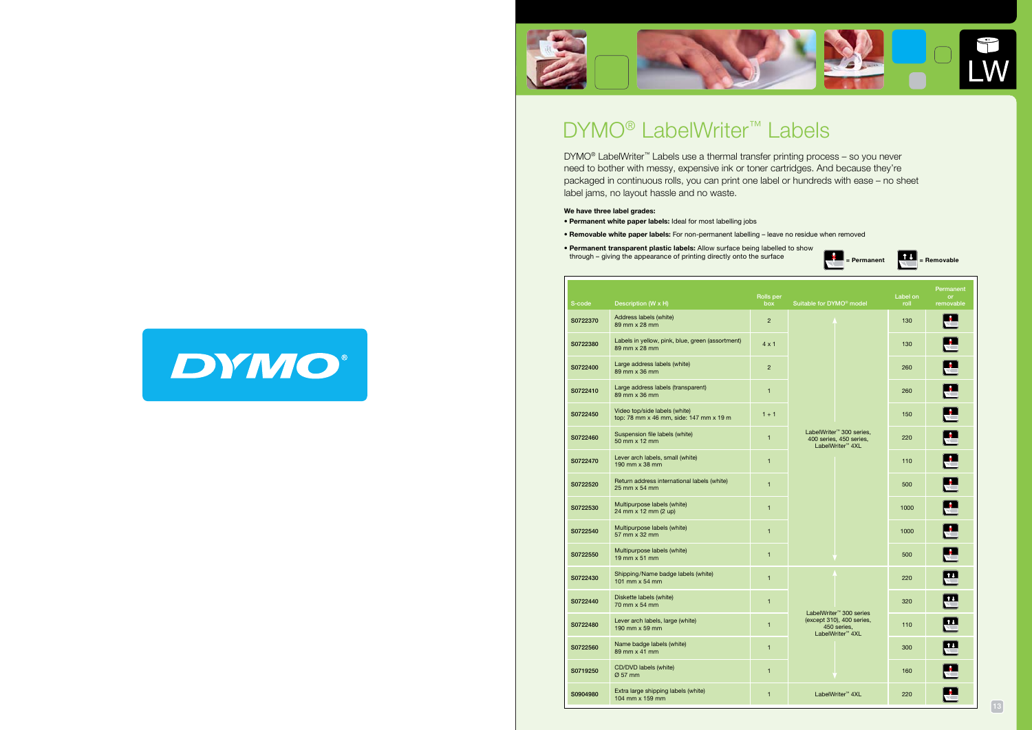

## DYMO<sup>®</sup> LabelWriter<sup>™</sup> Labels





 $\begin{bmatrix} \bullet \\ \bullet \end{bmatrix}$  = Permanent  $\begin{bmatrix} \bullet \\ \bullet \end{bmatrix}$  = Removable

| Permanent<br>$-$ or $-$<br>removable | Label on<br>roll | Suitable for DYMO <sup>®</sup> model                                                                            | Rolls per<br>box | Description (W x H)                                                                         | S-code   |
|--------------------------------------|------------------|-----------------------------------------------------------------------------------------------------------------|------------------|---------------------------------------------------------------------------------------------|----------|
| $\mathbf{E}$                         | 130              |                                                                                                                 | $\overline{2}$   | Address labels (white)<br>89 mm x 28 mm                                                     | S0722370 |
| EZ<br>p                              | 130              |                                                                                                                 | $4 \times 1$     | Labels in yellow, pink, blue, green (assortment)<br>89 mm x 28 mm                           | S0722380 |
| <u>isa</u>                           | 260              |                                                                                                                 | $\overline{2}$   | Large address labels (white)<br>89 mm x 36 mm                                               | S0722400 |
| Œ<br>E                               | 260              |                                                                                                                 | $\mathbf{1}$     | Large address labels (transparent)<br>89 mm x 36 mm                                         | S0722410 |
|                                      | 150              |                                                                                                                 | $1 + 1$          | Video top/side labels (white)<br>top: 78 mm x 46 mm, side: 147 mm x 19 m                    | S0722450 |
|                                      | 220              | LabelWriter <sup>™</sup> 300 series,<br>400 series, 450 series,<br>LabelWriter <sup>™</sup> 4XL                 | $\mathbf{1}$     | Suspension file labels (white)<br>50 mm x 12 mm                                             | S0722460 |
| $\blacksquare$                       | 110              |                                                                                                                 | 1                | Lever arch labels, small (white)<br>190 mm x 38 mm                                          | S0722470 |
| $\mathbf{E}$                         | 500              |                                                                                                                 | $\mathbf{1}$     | Return address international labels (white)<br>25 mm x 54 mm                                | S0722520 |
| EZ                                   | 1000             |                                                                                                                 | $\mathbf{1}$     | Multipurpose labels (white)<br>$24 \, \text{mm} \times 12 \, \text{mm} \, (2 \, \text{up})$ | S0722530 |
| $\mathbf{E}$                         | 1000             |                                                                                                                 | $\mathbf{1}$     | Multipurpose labels (white)<br>57 mm x 32 mm                                                | S0722540 |
| $\mathbf{E}$                         | 500              |                                                                                                                 | 1                | Multipurpose labels (white)<br>$19$ mm $\times$ 51 mm                                       | S0722550 |
| $\mathbf{E}$                         | 220              |                                                                                                                 | $\mathbf{1}$     | Shipping/Name badge labels (white)<br>101 mm $\times$ 54 mm                                 | S0722430 |
| $\mathbf{E}$                         | 320              |                                                                                                                 | 1                | Diskette labels (white)<br>70 mm x 54 mm                                                    | S0722440 |
| $\mathbf{E}$                         | 110              | LabelWriter <sup>™</sup> 300 series<br>(except 310), 400 series,<br>450 series,<br>LabelWriter <sup>™</sup> 4XL | $1 -$            | Lever arch labels, large (white)<br>190 mm x 59 mm                                          | S0722480 |
| 巴                                    | 300              |                                                                                                                 | $\mathbf{1}$     | Name badge labels (white)<br>$89$ mm $\times$ 41 mm                                         | S0722560 |
| $\blacksquare$                       | 160              |                                                                                                                 | $\mathbf{1}$     | CD/DVD labels (white)<br>$\varnothing$ 57 mm                                                | S0719250 |
| $\mathbf{E}$                         | 220              | LabelWriter <sup>™</sup> 4XL                                                                                    | 1                | Extra large shipping labels (white)<br>104 mm x 159 mm                                      | S0904980 |

DYMO® LabelWriter™ Labels use a thermal transfer printing process – so you never need to bother with messy, expensive ink or toner cartridges. And because they're packaged in continuous rolls, you can print one label or hundreds with ease – no sheet label jams, no layout hassle and no waste.

#### We have three label grades:

- Permanent white paper labels: Ideal for most labelling jobs
- Removable white paper labels: For non-permanent labelling leave no residue when removed
- Permanent transparent plastic labels: Allow surface being labelled to show through – giving the appearance of printing directly onto the surface